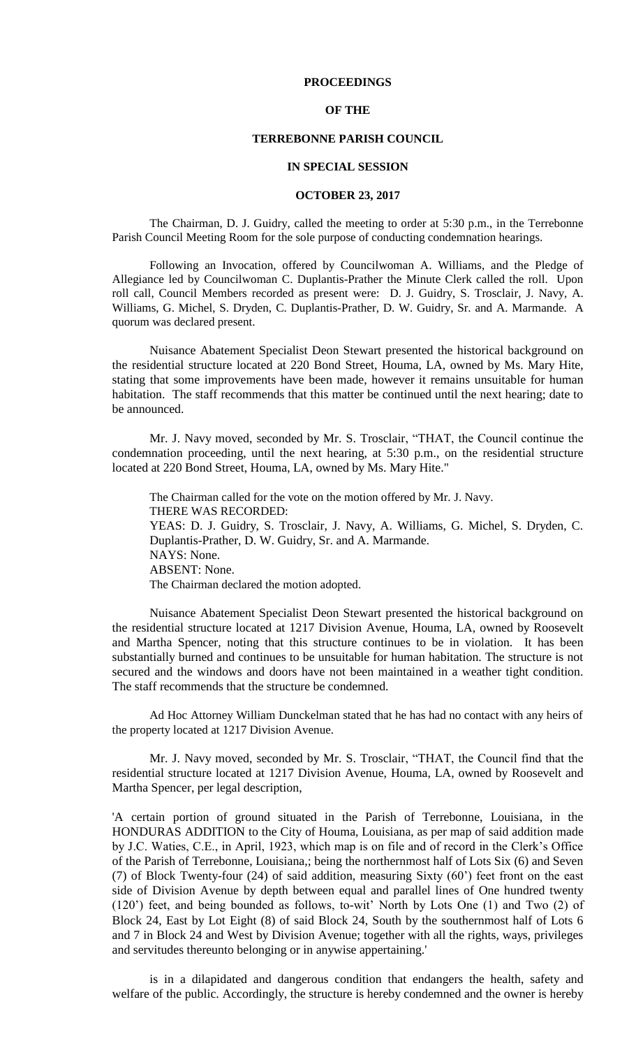## **PROCEEDINGS**

# **OF THE**

# **TERREBONNE PARISH COUNCIL**

#### **IN SPECIAL SESSION**

### **OCTOBER 23, 2017**

The Chairman, D. J. Guidry, called the meeting to order at 5:30 p.m., in the Terrebonne Parish Council Meeting Room for the sole purpose of conducting condemnation hearings.

Following an Invocation, offered by Councilwoman A. Williams, and the Pledge of Allegiance led by Councilwoman C. Duplantis-Prather the Minute Clerk called the roll. Upon roll call, Council Members recorded as present were: D. J. Guidry, S. Trosclair, J. Navy, A. Williams, G. Michel, S. Dryden, C. Duplantis-Prather, D. W. Guidry, Sr. and A. Marmande. A quorum was declared present.

Nuisance Abatement Specialist Deon Stewart presented the historical background on the residential structure located at 220 Bond Street, Houma, LA, owned by Ms. Mary Hite, stating that some improvements have been made, however it remains unsuitable for human habitation. The staff recommends that this matter be continued until the next hearing; date to be announced.

Mr. J. Navy moved, seconded by Mr. S. Trosclair, "THAT, the Council continue the condemnation proceeding, until the next hearing, at 5:30 p.m., on the residential structure located at 220 Bond Street, Houma, LA, owned by Ms. Mary Hite."

The Chairman called for the vote on the motion offered by Mr. J. Navy. THERE WAS RECORDED: YEAS: D. J. Guidry, S. Trosclair, J. Navy, A. Williams, G. Michel, S. Dryden, C. Duplantis-Prather, D. W. Guidry, Sr. and A. Marmande. NAYS: None. ABSENT: None. The Chairman declared the motion adopted.

Nuisance Abatement Specialist Deon Stewart presented the historical background on the residential structure located at 1217 Division Avenue, Houma, LA, owned by Roosevelt and Martha Spencer, noting that this structure continues to be in violation. It has been substantially burned and continues to be unsuitable for human habitation. The structure is not secured and the windows and doors have not been maintained in a weather tight condition. The staff recommends that the structure be condemned.

Ad Hoc Attorney William Dunckelman stated that he has had no contact with any heirs of the property located at 1217 Division Avenue.

Mr. J. Navy moved, seconded by Mr. S. Trosclair, "THAT, the Council find that the residential structure located at 1217 Division Avenue, Houma, LA, owned by Roosevelt and Martha Spencer, per legal description,

'A certain portion of ground situated in the Parish of Terrebonne, Louisiana, in the HONDURAS ADDITION to the City of Houma, Louisiana, as per map of said addition made by J.C. Waties, C.E., in April, 1923, which map is on file and of record in the Clerk's Office of the Parish of Terrebonne, Louisiana,; being the northernmost half of Lots Six (6) and Seven (7) of Block Twenty-four (24) of said addition, measuring Sixty (60') feet front on the east side of Division Avenue by depth between equal and parallel lines of One hundred twenty (120') feet, and being bounded as follows, to-wit' North by Lots One (1) and Two (2) of Block 24, East by Lot Eight (8) of said Block 24, South by the southernmost half of Lots 6 and 7 in Block 24 and West by Division Avenue; together with all the rights, ways, privileges and servitudes thereunto belonging or in anywise appertaining.'

is in a dilapidated and dangerous condition that endangers the health, safety and welfare of the public. Accordingly, the structure is hereby condemned and the owner is hereby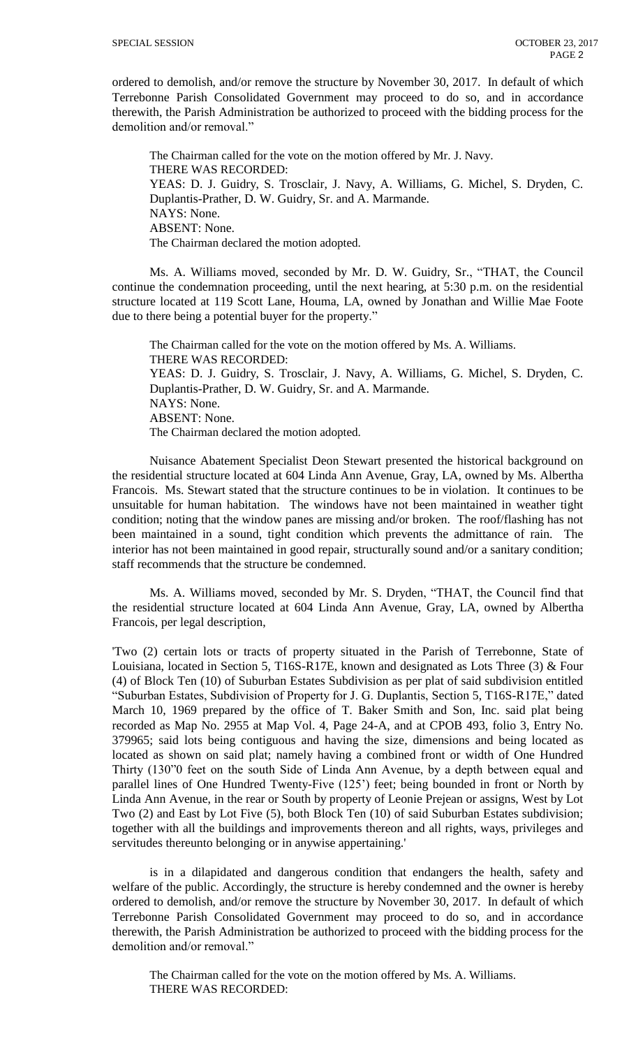ordered to demolish, and/or remove the structure by November 30, 2017. In default of which Terrebonne Parish Consolidated Government may proceed to do so, and in accordance therewith, the Parish Administration be authorized to proceed with the bidding process for the demolition and/or removal."

The Chairman called for the vote on the motion offered by Mr. J. Navy. THERE WAS RECORDED: YEAS: D. J. Guidry, S. Trosclair, J. Navy, A. Williams, G. Michel, S. Dryden, C. Duplantis-Prather, D. W. Guidry, Sr. and A. Marmande. NAYS: None. ABSENT: None. The Chairman declared the motion adopted.

Ms. A. Williams moved, seconded by Mr. D. W. Guidry, Sr., "THAT, the Council continue the condemnation proceeding, until the next hearing, at 5:30 p.m. on the residential structure located at 119 Scott Lane, Houma, LA, owned by Jonathan and Willie Mae Foote due to there being a potential buyer for the property."

The Chairman called for the vote on the motion offered by Ms. A. Williams. THERE WAS RECORDED: YEAS: D. J. Guidry, S. Trosclair, J. Navy, A. Williams, G. Michel, S. Dryden, C. Duplantis-Prather, D. W. Guidry, Sr. and A. Marmande. NAYS: None. ABSENT: None. The Chairman declared the motion adopted.

Nuisance Abatement Specialist Deon Stewart presented the historical background on the residential structure located at 604 Linda Ann Avenue, Gray, LA, owned by Ms. Albertha Francois. Ms. Stewart stated that the structure continues to be in violation. It continues to be unsuitable for human habitation. The windows have not been maintained in weather tight condition; noting that the window panes are missing and/or broken. The roof/flashing has not been maintained in a sound, tight condition which prevents the admittance of rain. The interior has not been maintained in good repair, structurally sound and/or a sanitary condition; staff recommends that the structure be condemned.

Ms. A. Williams moved, seconded by Mr. S. Dryden, "THAT, the Council find that the residential structure located at 604 Linda Ann Avenue, Gray, LA, owned by Albertha Francois, per legal description,

'Two (2) certain lots or tracts of property situated in the Parish of Terrebonne, State of Louisiana, located in Section 5, T16S-R17E, known and designated as Lots Three (3) & Four (4) of Block Ten (10) of Suburban Estates Subdivision as per plat of said subdivision entitled "Suburban Estates, Subdivision of Property for J. G. Duplantis, Section 5, T16S-R17E," dated March 10, 1969 prepared by the office of T. Baker Smith and Son, Inc. said plat being recorded as Map No. 2955 at Map Vol. 4, Page 24-A, and at CPOB 493, folio 3, Entry No. 379965; said lots being contiguous and having the size, dimensions and being located as located as shown on said plat; namely having a combined front or width of One Hundred Thirty (130"0 feet on the south Side of Linda Ann Avenue, by a depth between equal and parallel lines of One Hundred Twenty-Five (125') feet; being bounded in front or North by Linda Ann Avenue, in the rear or South by property of Leonie Prejean or assigns, West by Lot Two (2) and East by Lot Five (5), both Block Ten (10) of said Suburban Estates subdivision; together with all the buildings and improvements thereon and all rights, ways, privileges and servitudes thereunto belonging or in anywise appertaining.'

is in a dilapidated and dangerous condition that endangers the health, safety and welfare of the public. Accordingly, the structure is hereby condemned and the owner is hereby ordered to demolish, and/or remove the structure by November 30, 2017. In default of which Terrebonne Parish Consolidated Government may proceed to do so, and in accordance therewith, the Parish Administration be authorized to proceed with the bidding process for the demolition and/or removal."

The Chairman called for the vote on the motion offered by Ms. A. Williams. THERE WAS RECORDED: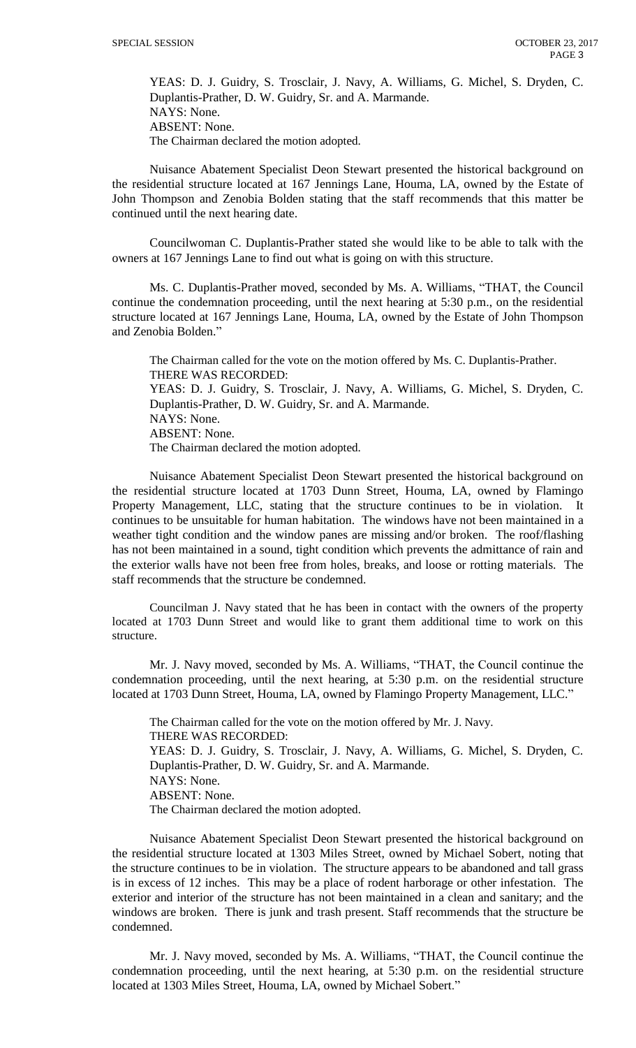YEAS: D. J. Guidry, S. Trosclair, J. Navy, A. Williams, G. Michel, S. Dryden, C. Duplantis-Prather, D. W. Guidry, Sr. and A. Marmande. NAYS: None. ABSENT: None. The Chairman declared the motion adopted.

Nuisance Abatement Specialist Deon Stewart presented the historical background on the residential structure located at 167 Jennings Lane, Houma, LA, owned by the Estate of John Thompson and Zenobia Bolden stating that the staff recommends that this matter be continued until the next hearing date.

Councilwoman C. Duplantis-Prather stated she would like to be able to talk with the owners at 167 Jennings Lane to find out what is going on with this structure.

Ms. C. Duplantis-Prather moved, seconded by Ms. A. Williams, "THAT, the Council continue the condemnation proceeding, until the next hearing at 5:30 p.m., on the residential structure located at 167 Jennings Lane, Houma, LA, owned by the Estate of John Thompson and Zenobia Bolden."

The Chairman called for the vote on the motion offered by Ms. C. Duplantis-Prather. THERE WAS RECORDED: YEAS: D. J. Guidry, S. Trosclair, J. Navy, A. Williams, G. Michel, S. Dryden, C. Duplantis-Prather, D. W. Guidry, Sr. and A. Marmande. NAYS: None. ABSENT: None. The Chairman declared the motion adopted.

Nuisance Abatement Specialist Deon Stewart presented the historical background on the residential structure located at 1703 Dunn Street, Houma, LA, owned by Flamingo Property Management, LLC, stating that the structure continues to be in violation. It continues to be unsuitable for human habitation. The windows have not been maintained in a weather tight condition and the window panes are missing and/or broken. The roof/flashing has not been maintained in a sound, tight condition which prevents the admittance of rain and the exterior walls have not been free from holes, breaks, and loose or rotting materials. The staff recommends that the structure be condemned.

Councilman J. Navy stated that he has been in contact with the owners of the property located at 1703 Dunn Street and would like to grant them additional time to work on this structure.

Mr. J. Navy moved, seconded by Ms. A. Williams, "THAT, the Council continue the condemnation proceeding, until the next hearing, at 5:30 p.m. on the residential structure located at 1703 Dunn Street, Houma, LA, owned by Flamingo Property Management, LLC."

The Chairman called for the vote on the motion offered by Mr. J. Navy. THERE WAS RECORDED: YEAS: D. J. Guidry, S. Trosclair, J. Navy, A. Williams, G. Michel, S. Dryden, C. Duplantis-Prather, D. W. Guidry, Sr. and A. Marmande. NAYS: None. ABSENT: None. The Chairman declared the motion adopted.

Nuisance Abatement Specialist Deon Stewart presented the historical background on the residential structure located at 1303 Miles Street, owned by Michael Sobert, noting that the structure continues to be in violation. The structure appears to be abandoned and tall grass is in excess of 12 inches. This may be a place of rodent harborage or other infestation. The exterior and interior of the structure has not been maintained in a clean and sanitary; and the windows are broken. There is junk and trash present. Staff recommends that the structure be condemned.

Mr. J. Navy moved, seconded by Ms. A. Williams, "THAT, the Council continue the condemnation proceeding, until the next hearing, at 5:30 p.m. on the residential structure located at 1303 Miles Street, Houma, LA, owned by Michael Sobert."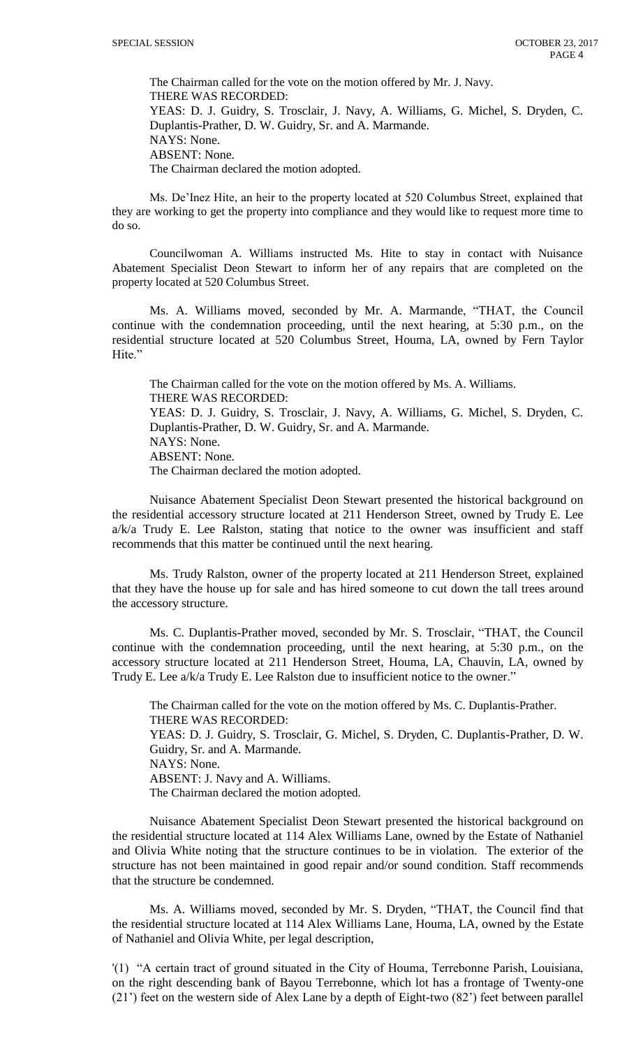The Chairman called for the vote on the motion offered by Mr. J. Navy. THERE WAS RECORDED: YEAS: D. J. Guidry, S. Trosclair, J. Navy, A. Williams, G. Michel, S. Dryden, C. Duplantis-Prather, D. W. Guidry, Sr. and A. Marmande. NAYS: None. ABSENT: None. The Chairman declared the motion adopted.

Ms. De'Inez Hite, an heir to the property located at 520 Columbus Street, explained that they are working to get the property into compliance and they would like to request more time to do so.

Councilwoman A. Williams instructed Ms. Hite to stay in contact with Nuisance Abatement Specialist Deon Stewart to inform her of any repairs that are completed on the property located at 520 Columbus Street.

Ms. A. Williams moved, seconded by Mr. A. Marmande, "THAT, the Council continue with the condemnation proceeding, until the next hearing, at 5:30 p.m., on the residential structure located at 520 Columbus Street, Houma, LA, owned by Fern Taylor Hite."

The Chairman called for the vote on the motion offered by Ms. A. Williams. THERE WAS RECORDED: YEAS: D. J. Guidry, S. Trosclair, J. Navy, A. Williams, G. Michel, S. Dryden, C. Duplantis-Prather, D. W. Guidry, Sr. and A. Marmande. NAYS: None. ABSENT: None. The Chairman declared the motion adopted.

Nuisance Abatement Specialist Deon Stewart presented the historical background on the residential accessory structure located at 211 Henderson Street, owned by Trudy E. Lee  $a/k/a$  Trudy E. Lee Ralston, stating that notice to the owner was insufficient and staff recommends that this matter be continued until the next hearing.

Ms. Trudy Ralston, owner of the property located at 211 Henderson Street, explained that they have the house up for sale and has hired someone to cut down the tall trees around the accessory structure.

Ms. C. Duplantis-Prather moved, seconded by Mr. S. Trosclair, "THAT, the Council continue with the condemnation proceeding, until the next hearing, at 5:30 p.m., on the accessory structure located at 211 Henderson Street, Houma, LA, Chauvin, LA, owned by Trudy E. Lee a/k/a Trudy E. Lee Ralston due to insufficient notice to the owner."

The Chairman called for the vote on the motion offered by Ms. C. Duplantis-Prather. THERE WAS RECORDED: YEAS: D. J. Guidry, S. Trosclair, G. Michel, S. Dryden, C. Duplantis-Prather, D. W. Guidry, Sr. and A. Marmande. NAYS: None. ABSENT: J. Navy and A. Williams. The Chairman declared the motion adopted.

Nuisance Abatement Specialist Deon Stewart presented the historical background on the residential structure located at 114 Alex Williams Lane, owned by the Estate of Nathaniel and Olivia White noting that the structure continues to be in violation. The exterior of the structure has not been maintained in good repair and/or sound condition. Staff recommends that the structure be condemned.

Ms. A. Williams moved, seconded by Mr. S. Dryden, "THAT, the Council find that the residential structure located at 114 Alex Williams Lane, Houma, LA, owned by the Estate of Nathaniel and Olivia White, per legal description,

'(1) "A certain tract of ground situated in the City of Houma, Terrebonne Parish, Louisiana, on the right descending bank of Bayou Terrebonne, which lot has a frontage of Twenty-one (21') feet on the western side of Alex Lane by a depth of Eight-two (82') feet between parallel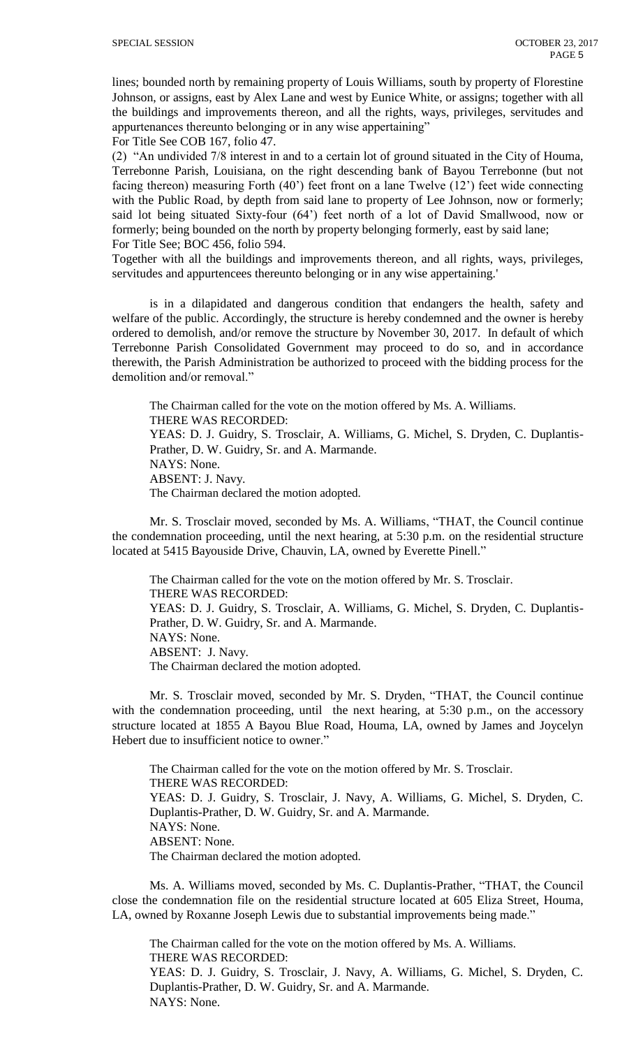lines; bounded north by remaining property of Louis Williams, south by property of Florestine Johnson, or assigns, east by Alex Lane and west by Eunice White, or assigns; together with all the buildings and improvements thereon, and all the rights, ways, privileges, servitudes and appurtenances thereunto belonging or in any wise appertaining"

For Title See COB 167, folio 47.

(2) "An undivided 7/8 interest in and to a certain lot of ground situated in the City of Houma, Terrebonne Parish, Louisiana, on the right descending bank of Bayou Terrebonne (but not facing thereon) measuring Forth (40') feet front on a lane Twelve (12') feet wide connecting with the Public Road, by depth from said lane to property of Lee Johnson, now or formerly; said lot being situated Sixty-four (64') feet north of a lot of David Smallwood, now or formerly; being bounded on the north by property belonging formerly, east by said lane; For Title See; BOC 456, folio 594.

Together with all the buildings and improvements thereon, and all rights, ways, privileges, servitudes and appurtencees thereunto belonging or in any wise appertaining.'

is in a dilapidated and dangerous condition that endangers the health, safety and welfare of the public. Accordingly, the structure is hereby condemned and the owner is hereby ordered to demolish, and/or remove the structure by November 30, 2017. In default of which Terrebonne Parish Consolidated Government may proceed to do so, and in accordance therewith, the Parish Administration be authorized to proceed with the bidding process for the demolition and/or removal."

The Chairman called for the vote on the motion offered by Ms. A. Williams. THERE WAS RECORDED: YEAS: D. J. Guidry, S. Trosclair, A. Williams, G. Michel, S. Dryden, C. Duplantis-Prather, D. W. Guidry, Sr. and A. Marmande. NAYS: None. ABSENT: J. Navy. The Chairman declared the motion adopted.

Mr. S. Trosclair moved, seconded by Ms. A. Williams, "THAT, the Council continue the condemnation proceeding, until the next hearing, at 5:30 p.m. on the residential structure located at 5415 Bayouside Drive, Chauvin, LA, owned by Everette Pinell."

The Chairman called for the vote on the motion offered by Mr. S. Trosclair. THERE WAS RECORDED: YEAS: D. J. Guidry, S. Trosclair, A. Williams, G. Michel, S. Dryden, C. Duplantis-Prather, D. W. Guidry, Sr. and A. Marmande. NAYS: None. ABSENT: J. Navy. The Chairman declared the motion adopted.

Mr. S. Trosclair moved, seconded by Mr. S. Dryden, "THAT, the Council continue with the condemnation proceeding, until the next hearing, at 5:30 p.m., on the accessory structure located at 1855 A Bayou Blue Road, Houma, LA, owned by James and Joycelyn Hebert due to insufficient notice to owner."

The Chairman called for the vote on the motion offered by Mr. S. Trosclair. THERE WAS RECORDED: YEAS: D. J. Guidry, S. Trosclair, J. Navy, A. Williams, G. Michel, S. Dryden, C. Duplantis-Prather, D. W. Guidry, Sr. and A. Marmande. NAYS: None. ABSENT: None. The Chairman declared the motion adopted.

Ms. A. Williams moved, seconded by Ms. C. Duplantis-Prather, "THAT, the Council close the condemnation file on the residential structure located at 605 Eliza Street, Houma, LA, owned by Roxanne Joseph Lewis due to substantial improvements being made."

The Chairman called for the vote on the motion offered by Ms. A. Williams. THERE WAS RECORDED: YEAS: D. J. Guidry, S. Trosclair, J. Navy, A. Williams, G. Michel, S. Dryden, C. Duplantis-Prather, D. W. Guidry, Sr. and A. Marmande. NAYS: None.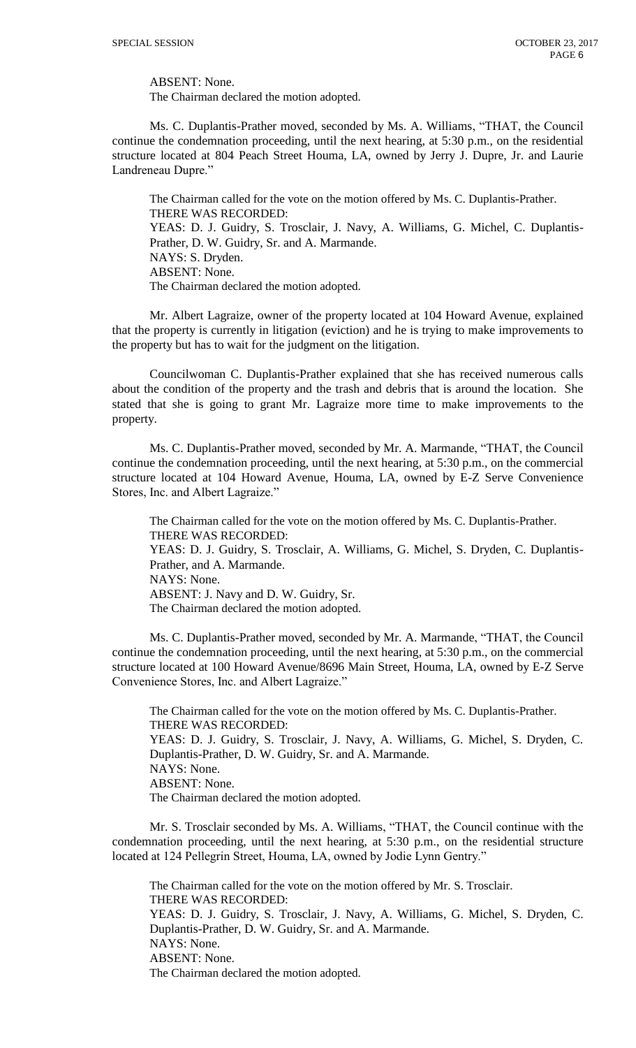ABSENT: None.

The Chairman declared the motion adopted.

Ms. C. Duplantis-Prather moved, seconded by Ms. A. Williams, "THAT, the Council continue the condemnation proceeding, until the next hearing, at 5:30 p.m., on the residential structure located at 804 Peach Street Houma, LA, owned by Jerry J. Dupre, Jr. and Laurie Landreneau Dupre."

The Chairman called for the vote on the motion offered by Ms. C. Duplantis-Prather. THERE WAS RECORDED: YEAS: D. J. Guidry, S. Trosclair, J. Navy, A. Williams, G. Michel, C. Duplantis-Prather, D. W. Guidry, Sr. and A. Marmande. NAYS: S. Dryden. ABSENT: None. The Chairman declared the motion adopted.

Mr. Albert Lagraize, owner of the property located at 104 Howard Avenue, explained that the property is currently in litigation (eviction) and he is trying to make improvements to the property but has to wait for the judgment on the litigation.

Councilwoman C. Duplantis-Prather explained that she has received numerous calls about the condition of the property and the trash and debris that is around the location. She stated that she is going to grant Mr. Lagraize more time to make improvements to the property.

Ms. C. Duplantis-Prather moved, seconded by Mr. A. Marmande, "THAT, the Council continue the condemnation proceeding, until the next hearing, at 5:30 p.m., on the commercial structure located at 104 Howard Avenue, Houma, LA, owned by E-Z Serve Convenience Stores, Inc. and Albert Lagraize."

The Chairman called for the vote on the motion offered by Ms. C. Duplantis-Prather. THERE WAS RECORDED: YEAS: D. J. Guidry, S. Trosclair, A. Williams, G. Michel, S. Dryden, C. Duplantis-Prather, and A. Marmande. NAYS: None. ABSENT: J. Navy and D. W. Guidry, Sr. The Chairman declared the motion adopted.

Ms. C. Duplantis-Prather moved, seconded by Mr. A. Marmande, "THAT, the Council continue the condemnation proceeding, until the next hearing, at 5:30 p.m., on the commercial structure located at 100 Howard Avenue/8696 Main Street, Houma, LA, owned by E-Z Serve Convenience Stores, Inc. and Albert Lagraize."

The Chairman called for the vote on the motion offered by Ms. C. Duplantis-Prather. THERE WAS RECORDED: YEAS: D. J. Guidry, S. Trosclair, J. Navy, A. Williams, G. Michel, S. Dryden, C. Duplantis-Prather, D. W. Guidry, Sr. and A. Marmande. NAYS: None. ABSENT: None. The Chairman declared the motion adopted.

Mr. S. Trosclair seconded by Ms. A. Williams, "THAT, the Council continue with the condemnation proceeding, until the next hearing, at 5:30 p.m., on the residential structure located at 124 Pellegrin Street, Houma, LA, owned by Jodie Lynn Gentry."

The Chairman called for the vote on the motion offered by Mr. S. Trosclair. THERE WAS RECORDED: YEAS: D. J. Guidry, S. Trosclair, J. Navy, A. Williams, G. Michel, S. Dryden, C. Duplantis-Prather, D. W. Guidry, Sr. and A. Marmande. NAYS: None. ABSENT: None. The Chairman declared the motion adopted.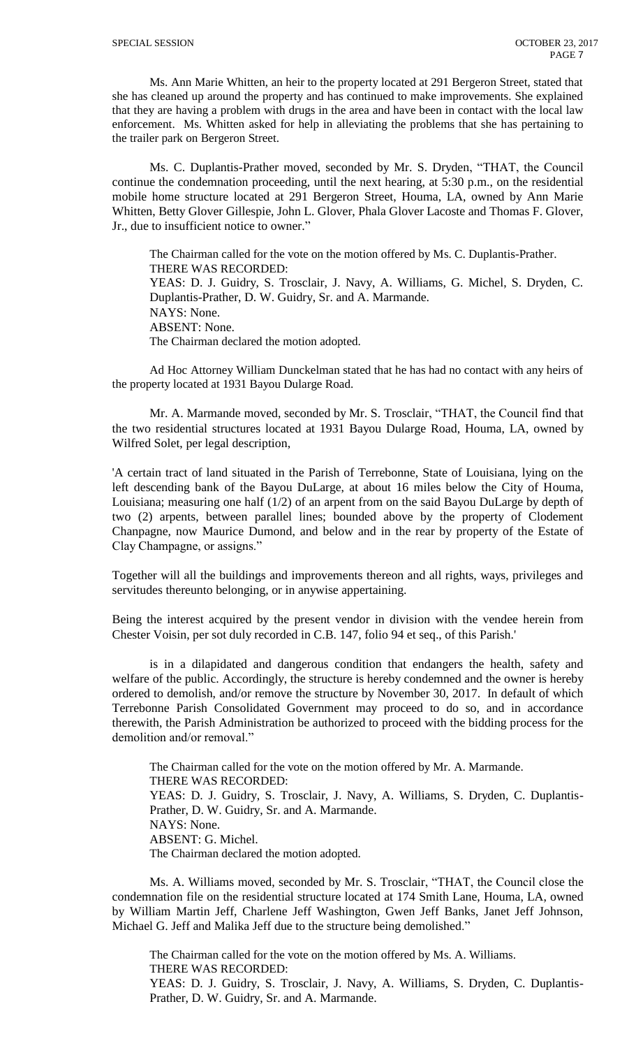Ms. Ann Marie Whitten, an heir to the property located at 291 Bergeron Street, stated that she has cleaned up around the property and has continued to make improvements. She explained that they are having a problem with drugs in the area and have been in contact with the local law enforcement. Ms. Whitten asked for help in alleviating the problems that she has pertaining to the trailer park on Bergeron Street.

Ms. C. Duplantis-Prather moved, seconded by Mr. S. Dryden, "THAT, the Council continue the condemnation proceeding, until the next hearing, at 5:30 p.m., on the residential mobile home structure located at 291 Bergeron Street, Houma, LA, owned by Ann Marie Whitten, Betty Glover Gillespie, John L. Glover, Phala Glover Lacoste and Thomas F. Glover, Jr., due to insufficient notice to owner."

The Chairman called for the vote on the motion offered by Ms. C. Duplantis-Prather. THERE WAS RECORDED: YEAS: D. J. Guidry, S. Trosclair, J. Navy, A. Williams, G. Michel, S. Dryden, C. Duplantis-Prather, D. W. Guidry, Sr. and A. Marmande. NAYS: None. ABSENT: None. The Chairman declared the motion adopted.

Ad Hoc Attorney William Dunckelman stated that he has had no contact with any heirs of the property located at 1931 Bayou Dularge Road.

Mr. A. Marmande moved, seconded by Mr. S. Trosclair, "THAT, the Council find that the two residential structures located at 1931 Bayou Dularge Road, Houma, LA, owned by Wilfred Solet, per legal description,

'A certain tract of land situated in the Parish of Terrebonne, State of Louisiana, lying on the left descending bank of the Bayou DuLarge, at about 16 miles below the City of Houma, Louisiana; measuring one half (1/2) of an arpent from on the said Bayou DuLarge by depth of two (2) arpents, between parallel lines; bounded above by the property of Clodement Chanpagne, now Maurice Dumond, and below and in the rear by property of the Estate of Clay Champagne, or assigns."

Together will all the buildings and improvements thereon and all rights, ways, privileges and servitudes thereunto belonging, or in anywise appertaining.

Being the interest acquired by the present vendor in division with the vendee herein from Chester Voisin, per sot duly recorded in C.B. 147, folio 94 et seq., of this Parish.'

is in a dilapidated and dangerous condition that endangers the health, safety and welfare of the public. Accordingly, the structure is hereby condemned and the owner is hereby ordered to demolish, and/or remove the structure by November 30, 2017. In default of which Terrebonne Parish Consolidated Government may proceed to do so, and in accordance therewith, the Parish Administration be authorized to proceed with the bidding process for the demolition and/or removal."

The Chairman called for the vote on the motion offered by Mr. A. Marmande. THERE WAS RECORDED: YEAS: D. J. Guidry, S. Trosclair, J. Navy, A. Williams, S. Dryden, C. Duplantis-Prather, D. W. Guidry, Sr. and A. Marmande. NAYS: None. ABSENT: G. Michel. The Chairman declared the motion adopted.

Ms. A. Williams moved, seconded by Mr. S. Trosclair, "THAT, the Council close the condemnation file on the residential structure located at 174 Smith Lane, Houma, LA, owned by William Martin Jeff, Charlene Jeff Washington, Gwen Jeff Banks, Janet Jeff Johnson, Michael G. Jeff and Malika Jeff due to the structure being demolished."

The Chairman called for the vote on the motion offered by Ms. A. Williams. THERE WAS RECORDED: YEAS: D. J. Guidry, S. Trosclair, J. Navy, A. Williams, S. Dryden, C. Duplantis-Prather, D. W. Guidry, Sr. and A. Marmande.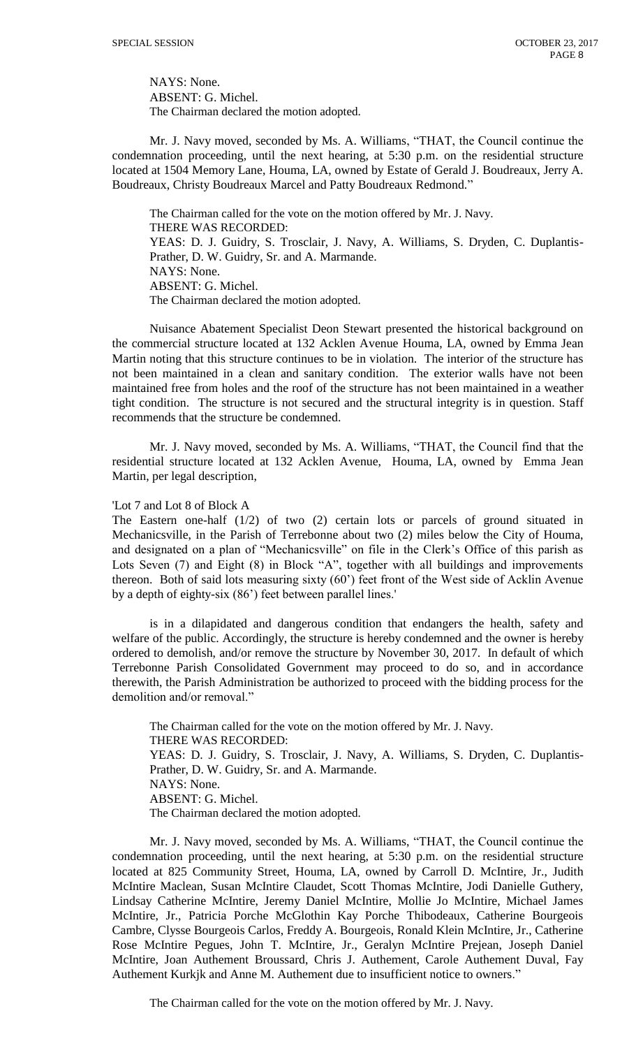NAYS: None. ABSENT: G. Michel. The Chairman declared the motion adopted.

Mr. J. Navy moved, seconded by Ms. A. Williams, "THAT, the Council continue the condemnation proceeding, until the next hearing, at 5:30 p.m. on the residential structure located at 1504 Memory Lane, Houma, LA, owned by Estate of Gerald J. Boudreaux, Jerry A. Boudreaux, Christy Boudreaux Marcel and Patty Boudreaux Redmond."

The Chairman called for the vote on the motion offered by Mr. J. Navy. THERE WAS RECORDED: YEAS: D. J. Guidry, S. Trosclair, J. Navy, A. Williams, S. Dryden, C. Duplantis-Prather, D. W. Guidry, Sr. and A. Marmande. NAYS: None. ABSENT: G. Michel. The Chairman declared the motion adopted.

Nuisance Abatement Specialist Deon Stewart presented the historical background on the commercial structure located at 132 Acklen Avenue Houma, LA, owned by Emma Jean Martin noting that this structure continues to be in violation. The interior of the structure has not been maintained in a clean and sanitary condition. The exterior walls have not been maintained free from holes and the roof of the structure has not been maintained in a weather tight condition. The structure is not secured and the structural integrity is in question. Staff recommends that the structure be condemned.

Mr. J. Navy moved, seconded by Ms. A. Williams, "THAT, the Council find that the residential structure located at 132 Acklen Avenue, Houma, LA, owned by Emma Jean Martin, per legal description,

## 'Lot 7 and Lot 8 of Block A

The Eastern one-half (1/2) of two (2) certain lots or parcels of ground situated in Mechanicsville, in the Parish of Terrebonne about two (2) miles below the City of Houma, and designated on a plan of "Mechanicsville" on file in the Clerk's Office of this parish as Lots Seven (7) and Eight (8) in Block "A", together with all buildings and improvements thereon. Both of said lots measuring sixty (60') feet front of the West side of Acklin Avenue by a depth of eighty-six (86') feet between parallel lines.'

is in a dilapidated and dangerous condition that endangers the health, safety and welfare of the public. Accordingly, the structure is hereby condemned and the owner is hereby ordered to demolish, and/or remove the structure by November 30, 2017. In default of which Terrebonne Parish Consolidated Government may proceed to do so, and in accordance therewith, the Parish Administration be authorized to proceed with the bidding process for the demolition and/or removal."

The Chairman called for the vote on the motion offered by Mr. J. Navy. THERE WAS RECORDED: YEAS: D. J. Guidry, S. Trosclair, J. Navy, A. Williams, S. Dryden, C. Duplantis-Prather, D. W. Guidry, Sr. and A. Marmande. NAYS: None. ABSENT: G. Michel. The Chairman declared the motion adopted.

Mr. J. Navy moved, seconded by Ms. A. Williams, "THAT, the Council continue the condemnation proceeding, until the next hearing, at 5:30 p.m. on the residential structure located at 825 Community Street, Houma, LA, owned by Carroll D. McIntire, Jr., Judith McIntire Maclean, Susan McIntire Claudet, Scott Thomas McIntire, Jodi Danielle Guthery, Lindsay Catherine McIntire, Jeremy Daniel McIntire, Mollie Jo McIntire, Michael James McIntire, Jr., Patricia Porche McGlothin Kay Porche Thibodeaux, Catherine Bourgeois Cambre, Clysse Bourgeois Carlos, Freddy A. Bourgeois, Ronald Klein McIntire, Jr., Catherine Rose McIntire Pegues, John T. McIntire, Jr., Geralyn McIntire Prejean, Joseph Daniel McIntire, Joan Authement Broussard, Chris J. Authement, Carole Authement Duval, Fay Authement Kurkjk and Anne M. Authement due to insufficient notice to owners."

The Chairman called for the vote on the motion offered by Mr. J. Navy.